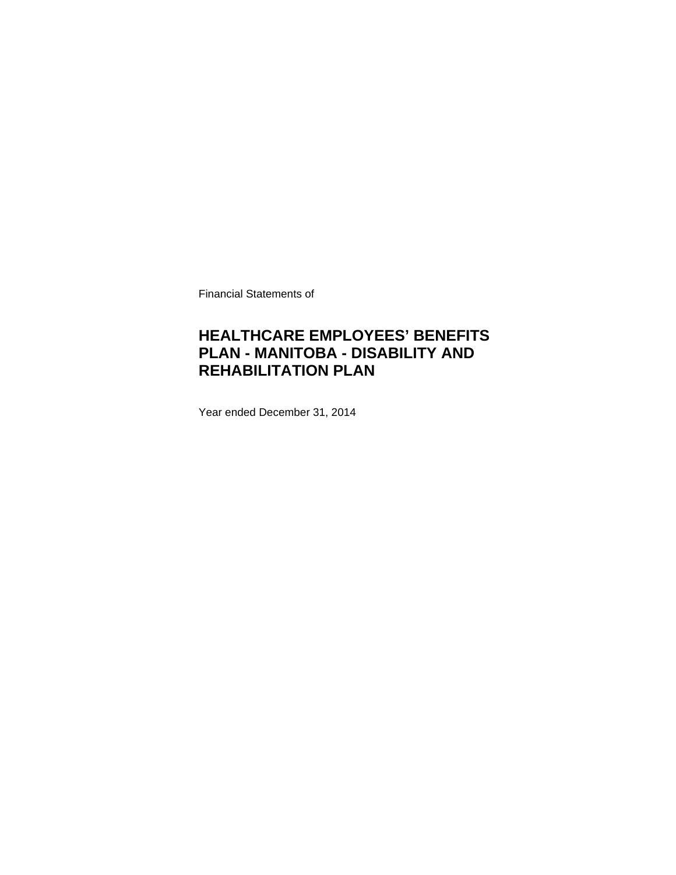Financial Statements of

### **HEALTHCARE EMPLOYEES' BENEFITS PLAN - MANITOBA - DISABILITY AND REHABILITATION PLAN**

Year ended December 31, 2014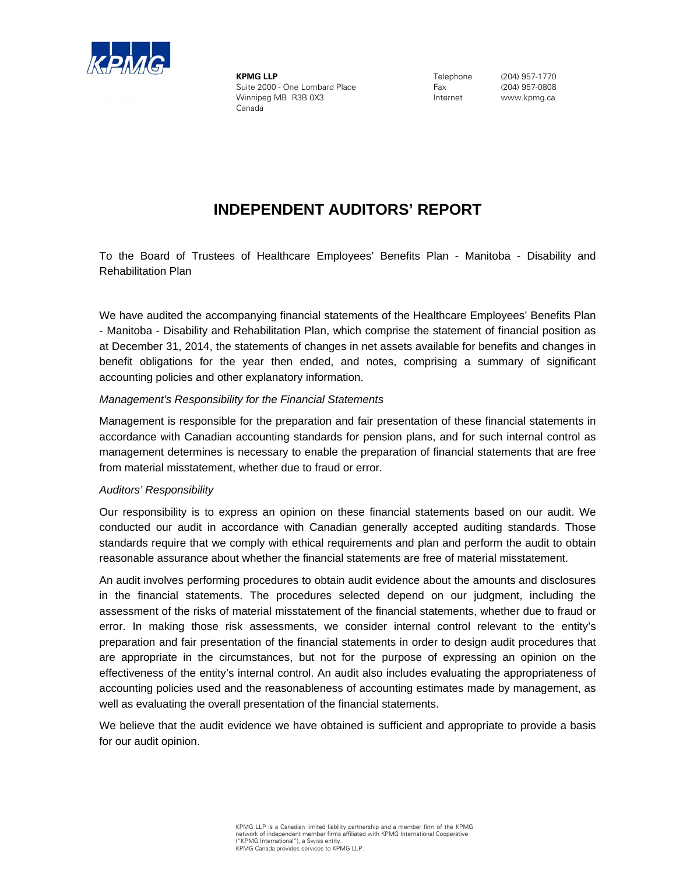

**KPMG LLP** Suite 2000 - One Lombard Place Winnipeg MB R3B 0X3 Canada

Telephone Fax Internet

(204) 957-1770 (204) 957-0808 www.kpmg.ca

### **INDEPENDENT AUDITORS' REPORT**

To the Board of Trustees of Healthcare Employees' Benefits Plan - Manitoba - Disability and Rehabilitation Plan

We have audited the accompanying financial statements of the Healthcare Employees' Benefits Plan - Manitoba - Disability and Rehabilitation Plan, which comprise the statement of financial position as at December 31, 2014, the statements of changes in net assets available for benefits and changes in benefit obligations for the year then ended, and notes, comprising a summary of significant accounting policies and other explanatory information.

#### *Management's Responsibility for the Financial Statements*

Management is responsible for the preparation and fair presentation of these financial statements in accordance with Canadian accounting standards for pension plans, and for such internal control as management determines is necessary to enable the preparation of financial statements that are free from material misstatement, whether due to fraud or error.

### *Auditors' Responsibility*

Our responsibility is to express an opinion on these financial statements based on our audit. We conducted our audit in accordance with Canadian generally accepted auditing standards. Those standards require that we comply with ethical requirements and plan and perform the audit to obtain reasonable assurance about whether the financial statements are free of material misstatement.

An audit involves performing procedures to obtain audit evidence about the amounts and disclosures in the financial statements. The procedures selected depend on our judgment, including the assessment of the risks of material misstatement of the financial statements, whether due to fraud or error. In making those risk assessments, we consider internal control relevant to the entity's preparation and fair presentation of the financial statements in order to design audit procedures that are appropriate in the circumstances, but not for the purpose of expressing an opinion on the effectiveness of the entity's internal control. An audit also includes evaluating the appropriateness of accounting policies used and the reasonableness of accounting estimates made by management, as well as evaluating the overall presentation of the financial statements.

We believe that the audit evidence we have obtained is sufficient and appropriate to provide a basis for our audit opinion.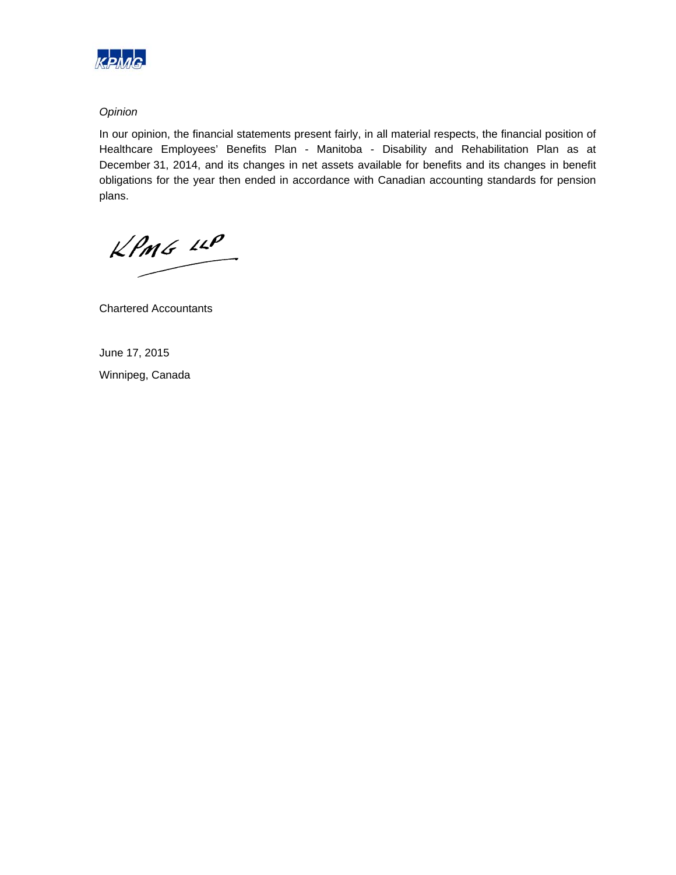

### *Opinion*

In our opinion, the financial statements present fairly, in all material respects, the financial position of Healthcare Employees' Benefits Plan - Manitoba - Disability and Rehabilitation Plan as at December 31, 2014, and its changes in net assets available for benefits and its changes in benefit obligations for the year then ended in accordance with Canadian accounting standards for pension plans.

 $KPMG$  14 $P$ 

Chartered Accountants

June 17, 2015 Winnipeg, Canada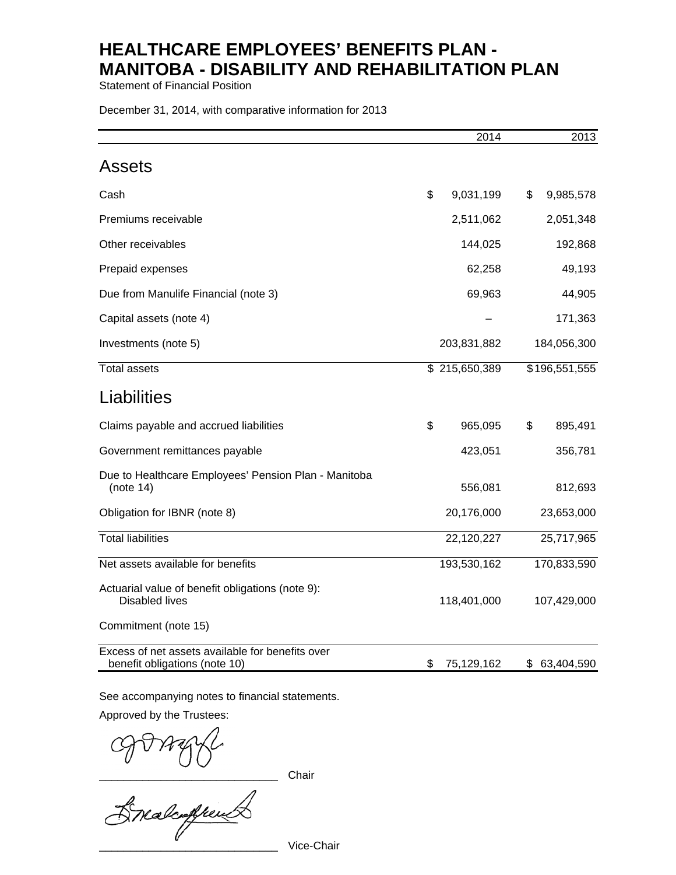Statement of Financial Position

December 31, 2014, with comparative information for 2013

|                                                                                   | 2014             | 2013             |
|-----------------------------------------------------------------------------------|------------------|------------------|
| <b>Assets</b>                                                                     |                  |                  |
| Cash                                                                              | \$<br>9,031,199  | \$<br>9,985,578  |
| Premiums receivable                                                               | 2,511,062        | 2,051,348        |
| Other receivables                                                                 | 144,025          | 192,868          |
| Prepaid expenses                                                                  | 62,258           | 49,193           |
| Due from Manulife Financial (note 3)                                              | 69,963           | 44,905           |
| Capital assets (note 4)                                                           |                  | 171,363          |
| Investments (note 5)                                                              | 203,831,882      | 184,056,300      |
| <b>Total assets</b>                                                               | \$215,650,389    | \$196,551,555    |
| Liabilities                                                                       |                  |                  |
| Claims payable and accrued liabilities                                            | \$<br>965,095    | \$<br>895,491    |
| Government remittances payable                                                    | 423,051          | 356,781          |
| Due to Healthcare Employees' Pension Plan - Manitoba<br>(note 14)                 | 556,081          | 812,693          |
| Obligation for IBNR (note 8)                                                      | 20,176,000       | 23,653,000       |
| <b>Total liabilities</b>                                                          | 22,120,227       | 25,717,965       |
| Net assets available for benefits                                                 | 193,530,162      | 170,833,590      |
| Actuarial value of benefit obligations (note 9):<br>Disabled lives                | 118,401,000      | 107,429,000      |
| Commitment (note 15)                                                              |                  |                  |
| Excess of net assets available for benefits over<br>benefit obligations (note 10) | \$<br>75,129,162 | \$<br>63,404,590 |

See accompanying notes to financial statements.

Approved by the Trustees:

Orraght

Vice-Chair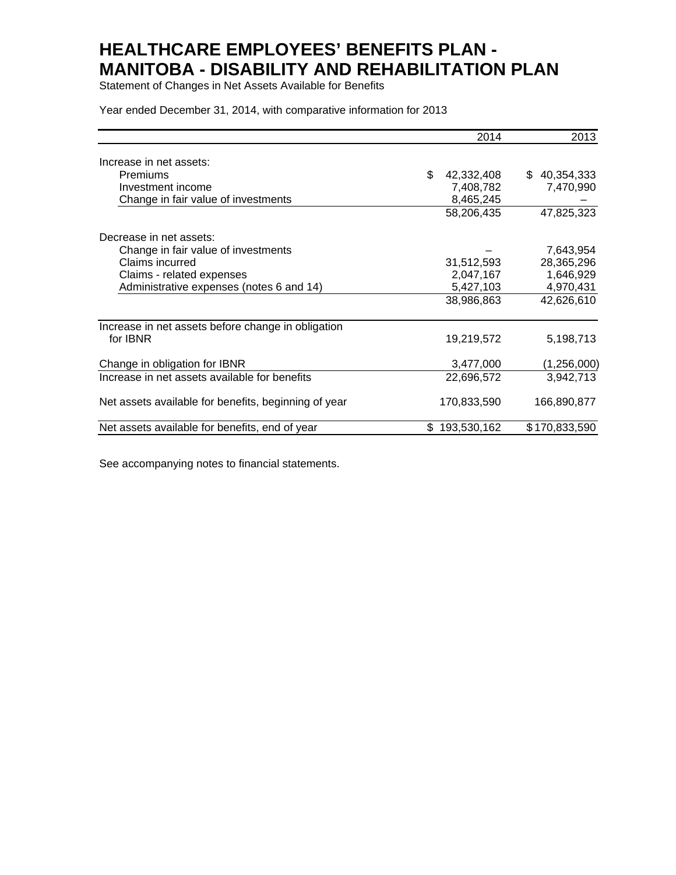Statement of Changes in Net Assets Available for Benefits

Year ended December 31, 2014, with comparative information for 2013

|                                                      |     | 2014        | 2013          |
|------------------------------------------------------|-----|-------------|---------------|
| Increase in net assets:                              |     |             |               |
| Premiums                                             | \$. | 42,332,408  | \$40,354,333  |
| Investment income                                    |     | 7,408,782   | 7,470,990     |
| Change in fair value of investments                  |     | 8,465,245   |               |
|                                                      |     | 58,206,435  | 47,825,323    |
| Decrease in net assets:                              |     |             |               |
| Change in fair value of investments                  |     |             | 7,643,954     |
| Claims incurred                                      |     | 31,512,593  | 28,365,296    |
| Claims - related expenses                            |     | 2,047,167   | 1,646,929     |
| Administrative expenses (notes 6 and 14)             |     | 5,427,103   | 4,970,431     |
|                                                      |     | 38,986,863  | 42,626,610    |
| Increase in net assets before change in obligation   |     |             |               |
| for IBNR                                             |     | 19,219,572  | 5,198,713     |
| Change in obligation for IBNR                        |     | 3,477,000   | (1, 256, 000) |
| Increase in net assets available for benefits        |     | 22,696,572  | 3,942,713     |
| Net assets available for benefits, beginning of year |     | 170,833,590 | 166,890,877   |
| Net assets available for benefits, end of year       | \$  | 193,530,162 | \$170,833,590 |

See accompanying notes to financial statements.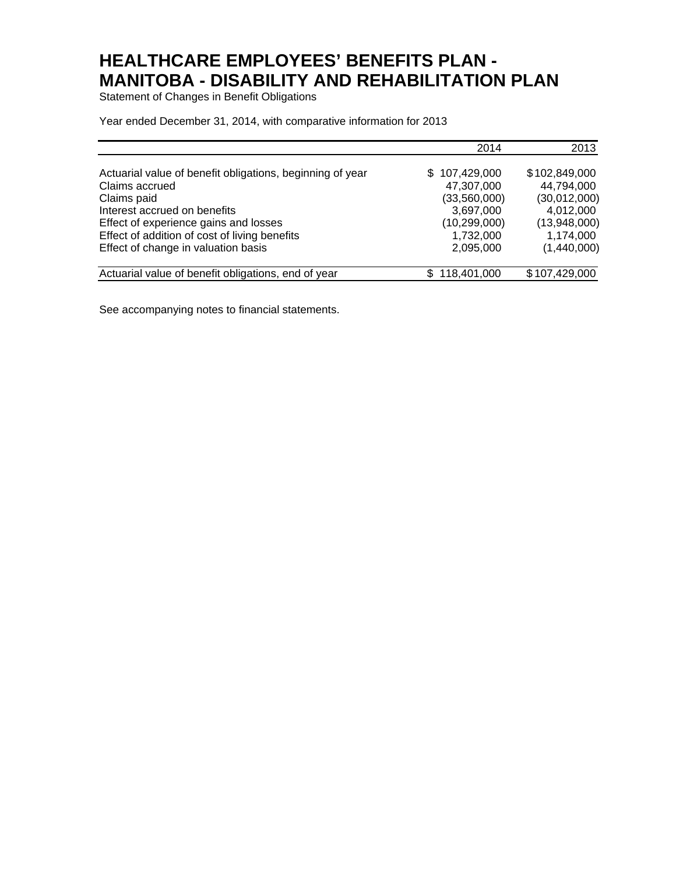Statement of Changes in Benefit Obligations

Year ended December 31, 2014, with comparative information for 2013

|                                                           | 2014           | 2013          |
|-----------------------------------------------------------|----------------|---------------|
| Actuarial value of benefit obligations, beginning of year | \$107,429,000  | \$102,849,000 |
| Claims accrued                                            | 47,307,000     | 44,794,000    |
| Claims paid                                               | (33,560,000)   | (30,012,000)  |
| Interest accrued on benefits                              | 3,697,000      | 4,012,000     |
| Effect of experience gains and losses                     | (10, 299, 000) | (13,948,000)  |
| Effect of addition of cost of living benefits             | 1,732,000      | 1,174,000     |
| Effect of change in valuation basis                       | 2,095,000      | (1,440,000)   |
| Actuarial value of benefit obligations, end of year       | \$118,401,000  | \$107,429,000 |

See accompanying notes to financial statements.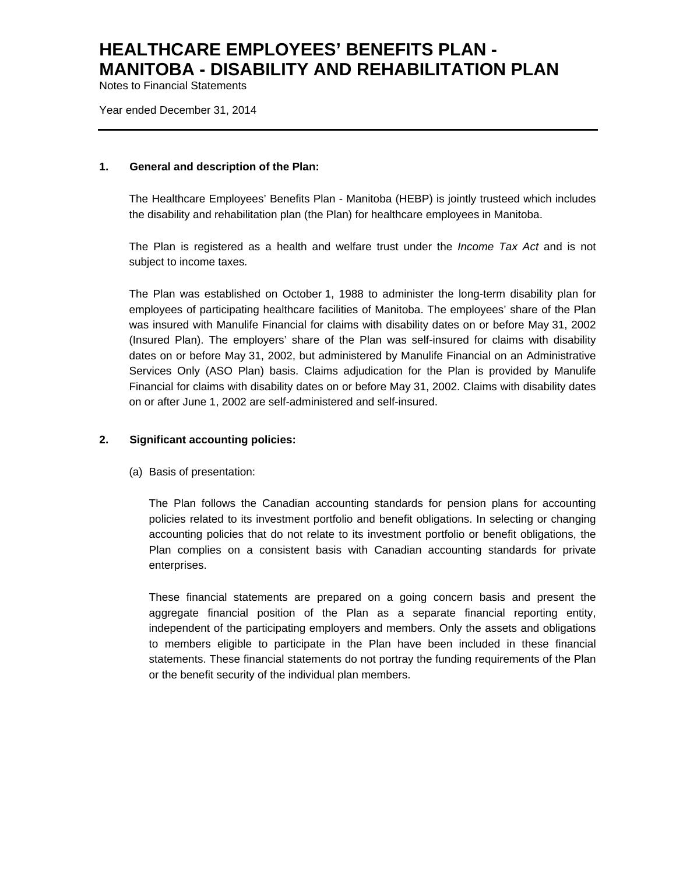Notes to Financial Statements

Year ended December 31, 2014

#### **1. General and description of the Plan:**

The Healthcare Employees' Benefits Plan - Manitoba (HEBP) is jointly trusteed which includes the disability and rehabilitation plan (the Plan) for healthcare employees in Manitoba.

The Plan is registered as a health and welfare trust under the *Income Tax Act* and is not subject to income taxes*.*

The Plan was established on October 1, 1988 to administer the long-term disability plan for employees of participating healthcare facilities of Manitoba. The employees' share of the Plan was insured with Manulife Financial for claims with disability dates on or before May 31, 2002 (Insured Plan). The employers' share of the Plan was self-insured for claims with disability dates on or before May 31, 2002, but administered by Manulife Financial on an Administrative Services Only (ASO Plan) basis. Claims adjudication for the Plan is provided by Manulife Financial for claims with disability dates on or before May 31, 2002. Claims with disability dates on or after June 1, 2002 are self-administered and self-insured.

### **2. Significant accounting policies:**

(a) Basis of presentation:

The Plan follows the Canadian accounting standards for pension plans for accounting policies related to its investment portfolio and benefit obligations. In selecting or changing accounting policies that do not relate to its investment portfolio or benefit obligations, the Plan complies on a consistent basis with Canadian accounting standards for private enterprises.

These financial statements are prepared on a going concern basis and present the aggregate financial position of the Plan as a separate financial reporting entity, independent of the participating employers and members. Only the assets and obligations to members eligible to participate in the Plan have been included in these financial statements. These financial statements do not portray the funding requirements of the Plan or the benefit security of the individual plan members.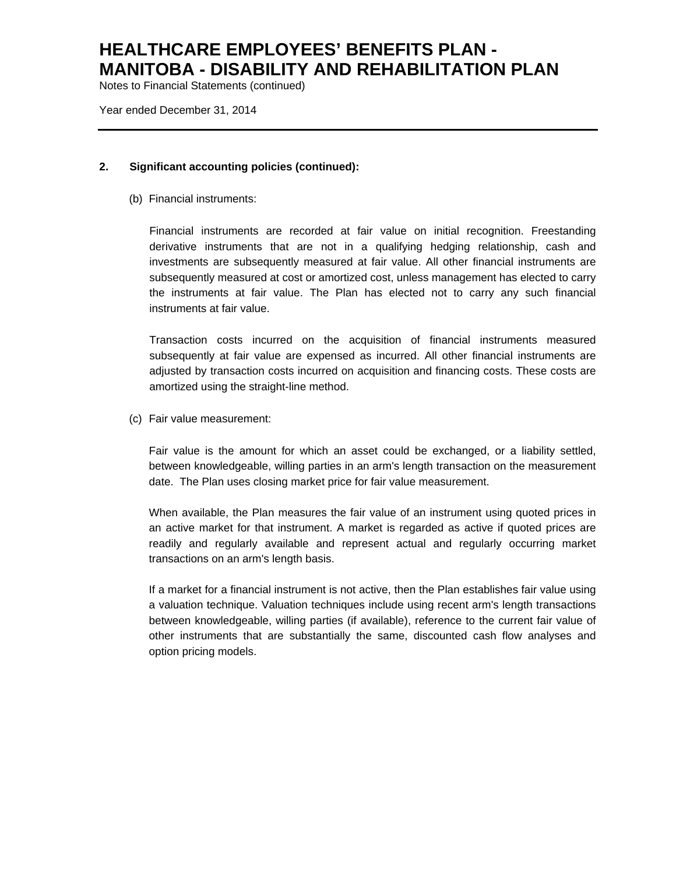Notes to Financial Statements (continued)

Year ended December 31, 2014

### **2. Significant accounting policies (continued):**

(b) Financial instruments:

Financial instruments are recorded at fair value on initial recognition. Freestanding derivative instruments that are not in a qualifying hedging relationship, cash and investments are subsequently measured at fair value. All other financial instruments are subsequently measured at cost or amortized cost, unless management has elected to carry the instruments at fair value. The Plan has elected not to carry any such financial instruments at fair value.

Transaction costs incurred on the acquisition of financial instruments measured subsequently at fair value are expensed as incurred. All other financial instruments are adjusted by transaction costs incurred on acquisition and financing costs. These costs are amortized using the straight-line method.

(c) Fair value measurement:

Fair value is the amount for which an asset could be exchanged, or a liability settled, between knowledgeable, willing parties in an arm's length transaction on the measurement date. The Plan uses closing market price for fair value measurement.

When available, the Plan measures the fair value of an instrument using quoted prices in an active market for that instrument. A market is regarded as active if quoted prices are readily and regularly available and represent actual and regularly occurring market transactions on an arm's length basis.

If a market for a financial instrument is not active, then the Plan establishes fair value using a valuation technique. Valuation techniques include using recent arm's length transactions between knowledgeable, willing parties (if available), reference to the current fair value of other instruments that are substantially the same, discounted cash flow analyses and option pricing models.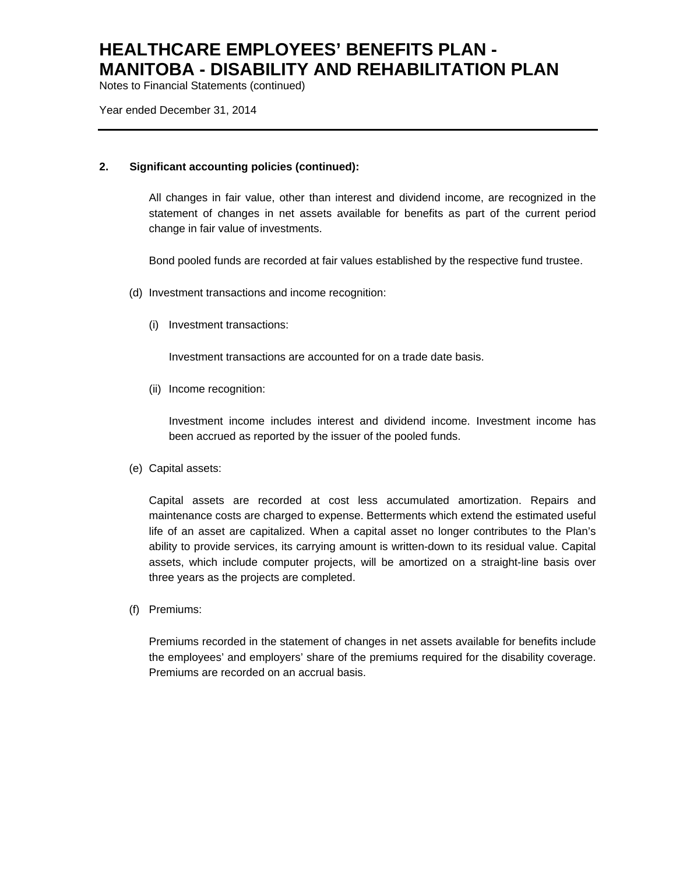Notes to Financial Statements (continued)

Year ended December 31, 2014

### **2. Significant accounting policies (continued):**

All changes in fair value, other than interest and dividend income, are recognized in the statement of changes in net assets available for benefits as part of the current period change in fair value of investments.

Bond pooled funds are recorded at fair values established by the respective fund trustee.

- (d) Investment transactions and income recognition:
	- (i) Investment transactions:

Investment transactions are accounted for on a trade date basis.

(ii) Income recognition:

Investment income includes interest and dividend income. Investment income has been accrued as reported by the issuer of the pooled funds.

(e) Capital assets:

Capital assets are recorded at cost less accumulated amortization. Repairs and maintenance costs are charged to expense. Betterments which extend the estimated useful life of an asset are capitalized. When a capital asset no longer contributes to the Plan's ability to provide services, its carrying amount is written-down to its residual value. Capital assets, which include computer projects, will be amortized on a straight-line basis over three years as the projects are completed.

(f) Premiums:

Premiums recorded in the statement of changes in net assets available for benefits include the employees' and employers' share of the premiums required for the disability coverage. Premiums are recorded on an accrual basis.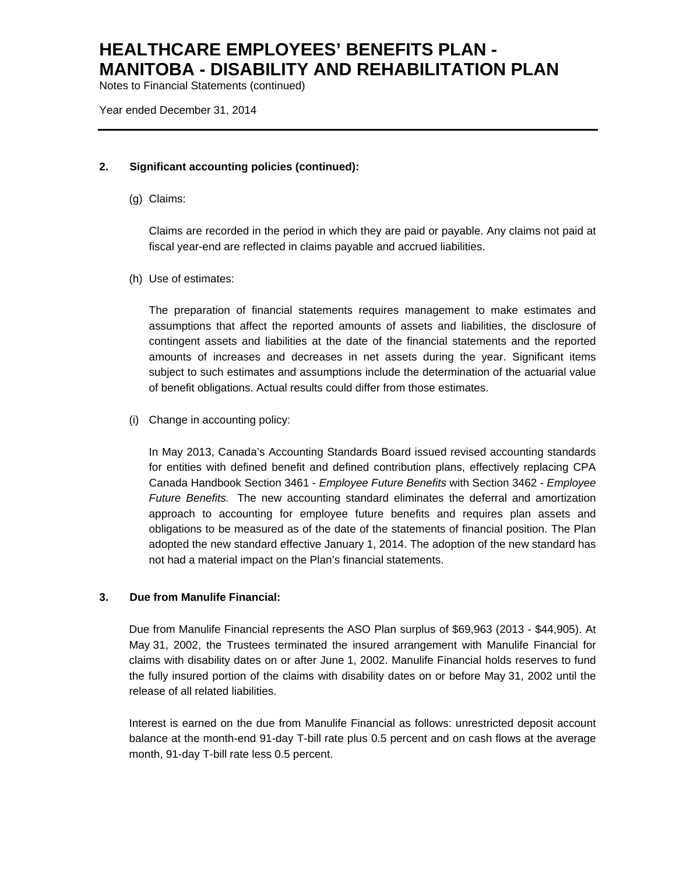Notes to Financial Statements (continued)

Year ended December 31, 2014

### **2. Significant accounting policies (continued):**

(g) Claims:

Claims are recorded in the period in which they are paid or payable. Any claims not paid at fiscal year-end are reflected in claims payable and accrued liabilities.

(h) Use of estimates:

The preparation of financial statements requires management to make estimates and assumptions that affect the reported amounts of assets and liabilities, the disclosure of contingent assets and liabilities at the date of the financial statements and the reported amounts of increases and decreases in net assets during the year. Significant items subject to such estimates and assumptions include the determination of the actuarial value of benefit obligations. Actual results could differ from those estimates.

(i) Change in accounting policy:

In May 2013, Canada's Accounting Standards Board issued revised accounting standards for entities with defined benefit and defined contribution plans, effectively replacing CPA Canada Handbook Section 3461 - *Employee Future Benefits* with Section 3462 - *Employee Future Benefits.* The new accounting standard eliminates the deferral and amortization approach to accounting for employee future benefits and requires plan assets and obligations to be measured as of the date of the statements of financial position. The Plan adopted the new standard effective January 1, 2014. The adoption of the new standard has not had a material impact on the Plan's financial statements.

### **3. Due from Manulife Financial:**

Due from Manulife Financial represents the ASO Plan surplus of \$69,963 (2013 - \$44,905). At May 31, 2002, the Trustees terminated the insured arrangement with Manulife Financial for claims with disability dates on or after June 1, 2002. Manulife Financial holds reserves to fund the fully insured portion of the claims with disability dates on or before May 31, 2002 until the release of all related liabilities.

Interest is earned on the due from Manulife Financial as follows: unrestricted deposit account balance at the month-end 91-day T-bill rate plus 0.5 percent and on cash flows at the average month, 91-day T-bill rate less 0.5 percent.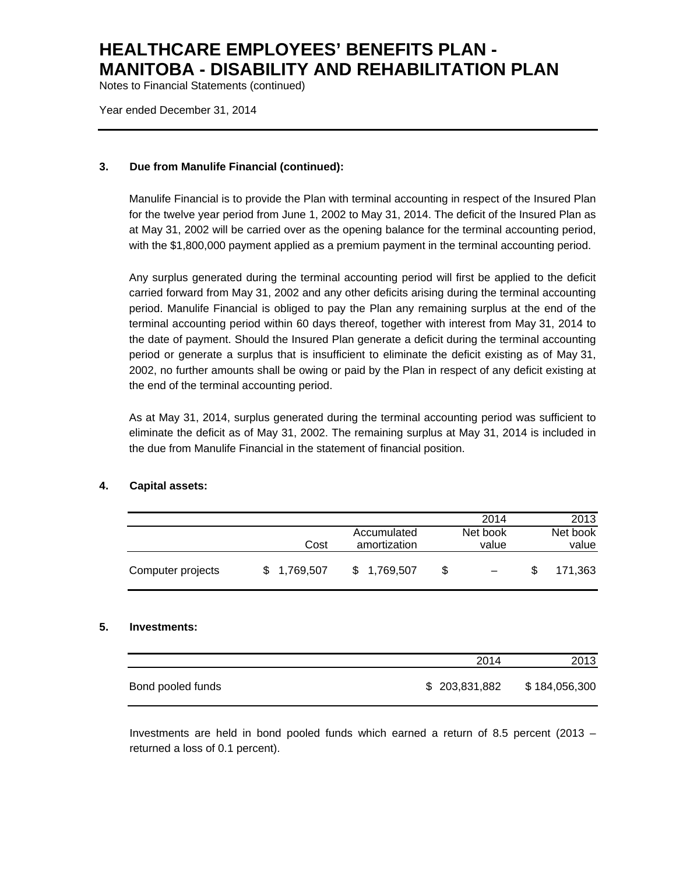Notes to Financial Statements (continued)

Year ended December 31, 2014

### **3. Due from Manulife Financial (continued):**

Manulife Financial is to provide the Plan with terminal accounting in respect of the Insured Plan for the twelve year period from June 1, 2002 to May 31, 2014. The deficit of the Insured Plan as at May 31, 2002 will be carried over as the opening balance for the terminal accounting period, with the \$1,800,000 payment applied as a premium payment in the terminal accounting period.

Any surplus generated during the terminal accounting period will first be applied to the deficit carried forward from May 31, 2002 and any other deficits arising during the terminal accounting period. Manulife Financial is obliged to pay the Plan any remaining surplus at the end of the terminal accounting period within 60 days thereof, together with interest from May 31, 2014 to the date of payment. Should the Insured Plan generate a deficit during the terminal accounting period or generate a surplus that is insufficient to eliminate the deficit existing as of May 31, 2002, no further amounts shall be owing or paid by the Plan in respect of any deficit existing at the end of the terminal accounting period.

As at May 31, 2014, surplus generated during the terminal accounting period was sufficient to eliminate the deficit as of May 31, 2002. The remaining surplus at May 31, 2014 is included in the due from Manulife Financial in the statement of financial position.

### **4. Capital assets:**

|                   |             |              |   | 2014     | 2013     |
|-------------------|-------------|--------------|---|----------|----------|
|                   |             | Accumulated  |   | Net book | Net book |
|                   | Cost        | amortization |   | value    | value    |
| Computer projects | \$1,769,507 | \$1,769,507  | S |          | 171.363  |

#### **5. Investments:**

|                   | 2014          | 2013          |
|-------------------|---------------|---------------|
| Bond pooled funds | \$203,831,882 | \$184,056,300 |

Investments are held in bond pooled funds which earned a return of 8.5 percent (2013 – returned a loss of 0.1 percent).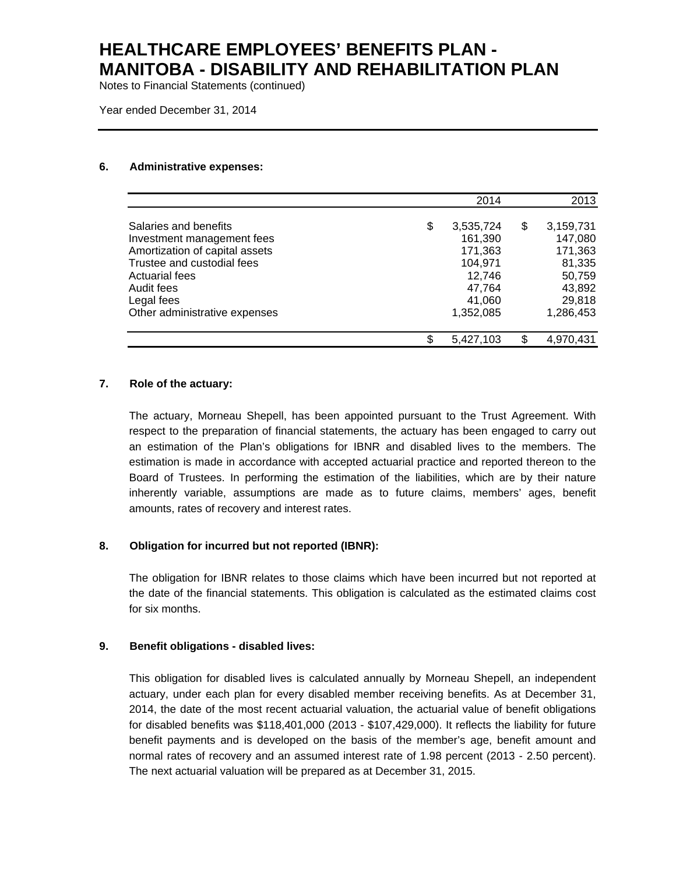Notes to Financial Statements (continued)

Year ended December 31, 2014

#### **6. Administrative expenses:**

|                                | 2014            | 2013            |
|--------------------------------|-----------------|-----------------|
| Salaries and benefits          | \$<br>3,535,724 | \$<br>3,159,731 |
| Investment management fees     | 161,390         | 147,080         |
| Amortization of capital assets | 171,363         | 171,363         |
| Trustee and custodial fees     | 104,971         | 81,335          |
| Actuarial fees                 | 12,746          | 50,759          |
| Audit fees                     | 47,764          | 43,892          |
| Legal fees                     | 41,060          | 29,818          |
| Other administrative expenses  | 1,352,085       | 1,286,453       |
|                                | \$<br>5,427,103 | 4,970,431       |

### **7. Role of the actuary:**

The actuary, Morneau Shepell, has been appointed pursuant to the Trust Agreement. With respect to the preparation of financial statements, the actuary has been engaged to carry out an estimation of the Plan's obligations for IBNR and disabled lives to the members. The estimation is made in accordance with accepted actuarial practice and reported thereon to the Board of Trustees. In performing the estimation of the liabilities, which are by their nature inherently variable, assumptions are made as to future claims, members' ages, benefit amounts, rates of recovery and interest rates.

### **8. Obligation for incurred but not reported (IBNR):**

The obligation for IBNR relates to those claims which have been incurred but not reported at the date of the financial statements. This obligation is calculated as the estimated claims cost for six months.

### **9. Benefit obligations - disabled lives:**

This obligation for disabled lives is calculated annually by Morneau Shepell, an independent actuary, under each plan for every disabled member receiving benefits. As at December 31, 2014, the date of the most recent actuarial valuation, the actuarial value of benefit obligations for disabled benefits was \$118,401,000 (2013 - \$107,429,000). It reflects the liability for future benefit payments and is developed on the basis of the member's age, benefit amount and normal rates of recovery and an assumed interest rate of 1.98 percent (2013 - 2.50 percent). The next actuarial valuation will be prepared as at December 31, 2015.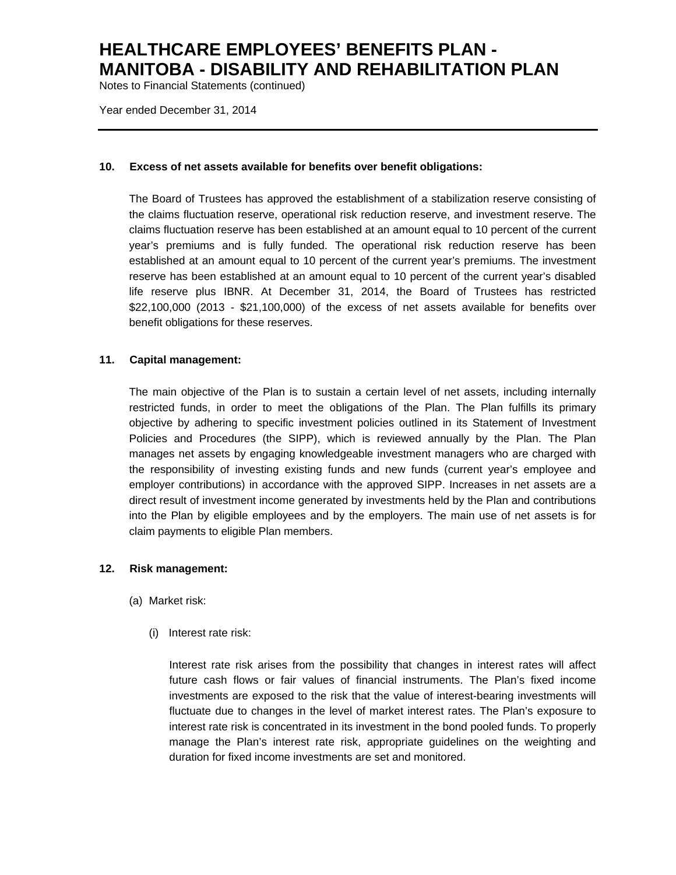Notes to Financial Statements (continued)

Year ended December 31, 2014

#### **10. Excess of net assets available for benefits over benefit obligations:**

The Board of Trustees has approved the establishment of a stabilization reserve consisting of the claims fluctuation reserve, operational risk reduction reserve, and investment reserve. The claims fluctuation reserve has been established at an amount equal to 10 percent of the current year's premiums and is fully funded. The operational risk reduction reserve has been established at an amount equal to 10 percent of the current year's premiums. The investment reserve has been established at an amount equal to 10 percent of the current year's disabled life reserve plus IBNR. At December 31, 2014, the Board of Trustees has restricted \$22,100,000 (2013 - \$21,100,000) of the excess of net assets available for benefits over benefit obligations for these reserves.

### **11. Capital management:**

The main objective of the Plan is to sustain a certain level of net assets, including internally restricted funds, in order to meet the obligations of the Plan. The Plan fulfills its primary objective by adhering to specific investment policies outlined in its Statement of Investment Policies and Procedures (the SIPP), which is reviewed annually by the Plan. The Plan manages net assets by engaging knowledgeable investment managers who are charged with the responsibility of investing existing funds and new funds (current year's employee and employer contributions) in accordance with the approved SIPP. Increases in net assets are a direct result of investment income generated by investments held by the Plan and contributions into the Plan by eligible employees and by the employers. The main use of net assets is for claim payments to eligible Plan members.

### **12. Risk management:**

- (a) Market risk:
	- (i) Interest rate risk:

Interest rate risk arises from the possibility that changes in interest rates will affect future cash flows or fair values of financial instruments. The Plan's fixed income investments are exposed to the risk that the value of interest-bearing investments will fluctuate due to changes in the level of market interest rates. The Plan's exposure to interest rate risk is concentrated in its investment in the bond pooled funds. To properly manage the Plan's interest rate risk, appropriate guidelines on the weighting and duration for fixed income investments are set and monitored.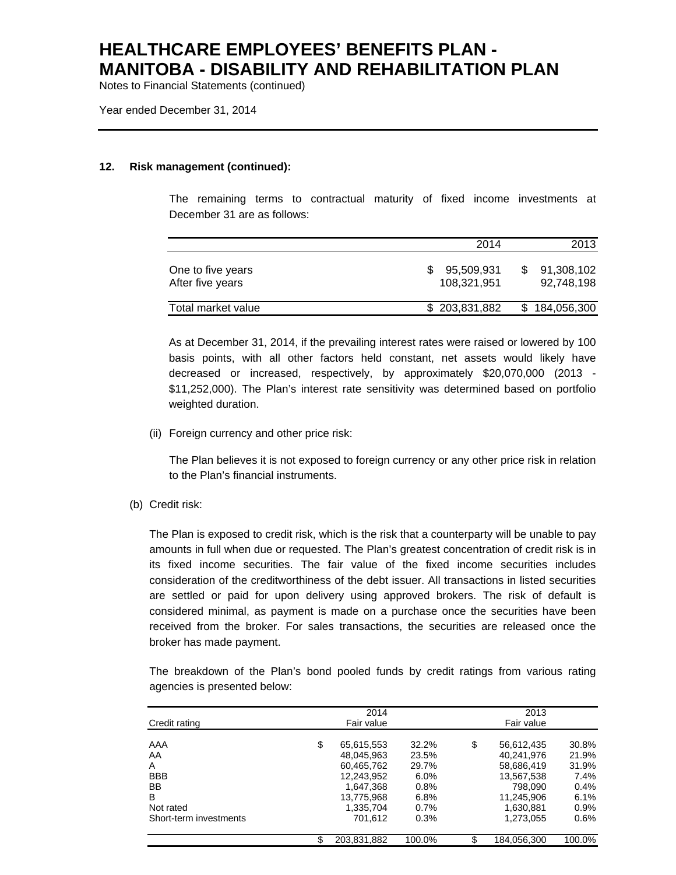Notes to Financial Statements (continued)

Year ended December 31, 2014

#### **12. Risk management (continued):**

The remaining terms to contractual maturity of fixed income investments at December 31 are as follows:

|                                       | 2014                      | 2013                     |
|---------------------------------------|---------------------------|--------------------------|
| One to five years<br>After five years | 95.509.931<br>108.321.951 | 91,308,102<br>92,748,198 |
| Total market value                    | \$203,831,882             | \$184,056,300            |

As at December 31, 2014, if the prevailing interest rates were raised or lowered by 100 basis points, with all other factors held constant, net assets would likely have decreased or increased, respectively, by approximately \$20,070,000 (2013 - \$11,252,000). The Plan's interest rate sensitivity was determined based on portfolio weighted duration.

(ii) Foreign currency and other price risk:

The Plan believes it is not exposed to foreign currency or any other price risk in relation to the Plan's financial instruments.

(b) Credit risk:

The Plan is exposed to credit risk, which is the risk that a counterparty will be unable to pay amounts in full when due or requested. The Plan's greatest concentration of credit risk is in its fixed income securities. The fair value of the fixed income securities includes consideration of the creditworthiness of the debt issuer. All transactions in listed securities are settled or paid for upon delivery using approved brokers. The risk of default is considered minimal, as payment is made on a purchase once the securities have been received from the broker. For sales transactions, the securities are released once the broker has made payment.

The breakdown of the Plan's bond pooled funds by credit ratings from various rating agencies is presented below:

|    | 2014       |                           |       | 2013       |                           |
|----|------------|---------------------------|-------|------------|---------------------------|
|    | Fair value |                           |       | Fair value |                           |
|    |            |                           |       |            |                           |
|    |            |                           |       |            | 30.8%                     |
|    | 48.045.963 | 23.5%                     |       | 40.241.976 | 21.9%                     |
|    | 60,465,762 | 29.7%                     |       | 58,686,419 | 31.9%                     |
|    | 12,243,952 | $6.0\%$                   |       | 13,567,538 | 7.4%                      |
|    | 1.647.368  | 0.8%                      |       | 798.090    | 0.4%                      |
|    | 13.775.968 | 6.8%                      |       | 11.245.906 | 6.1%                      |
|    | 1.335.704  | 0.7%                      |       | 1.630.881  | $0.9\%$                   |
|    | 701.612    | 0.3%                      |       | 1,273,055  | $0.6\%$                   |
| ß. |            | 100.0%                    |       |            | 100.0%                    |
|    | \$         | 65,615,553<br>203,831,882 | 32.2% | \$         | 56,612,435<br>184,056,300 |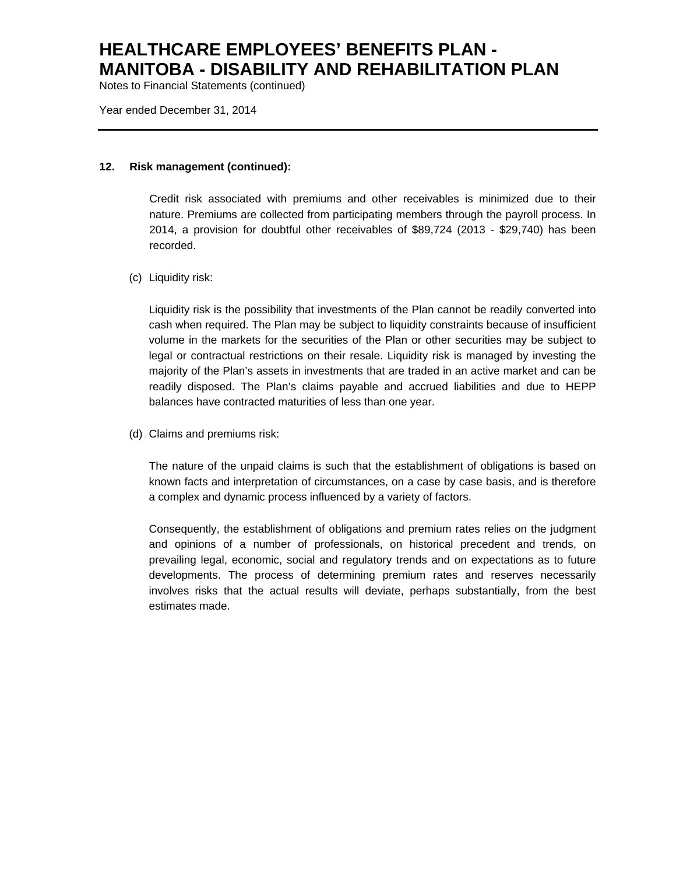Notes to Financial Statements (continued)

Year ended December 31, 2014

#### **12. Risk management (continued):**

Credit risk associated with premiums and other receivables is minimized due to their nature. Premiums are collected from participating members through the payroll process. In 2014, a provision for doubtful other receivables of \$89,724 (2013 - \$29,740) has been recorded.

#### (c) Liquidity risk:

Liquidity risk is the possibility that investments of the Plan cannot be readily converted into cash when required. The Plan may be subject to liquidity constraints because of insufficient volume in the markets for the securities of the Plan or other securities may be subject to legal or contractual restrictions on their resale. Liquidity risk is managed by investing the majority of the Plan's assets in investments that are traded in an active market and can be readily disposed. The Plan's claims payable and accrued liabilities and due to HEPP balances have contracted maturities of less than one year.

(d) Claims and premiums risk:

The nature of the unpaid claims is such that the establishment of obligations is based on known facts and interpretation of circumstances, on a case by case basis, and is therefore a complex and dynamic process influenced by a variety of factors.

Consequently, the establishment of obligations and premium rates relies on the judgment and opinions of a number of professionals, on historical precedent and trends, on prevailing legal, economic, social and regulatory trends and on expectations as to future developments. The process of determining premium rates and reserves necessarily involves risks that the actual results will deviate, perhaps substantially, from the best estimates made.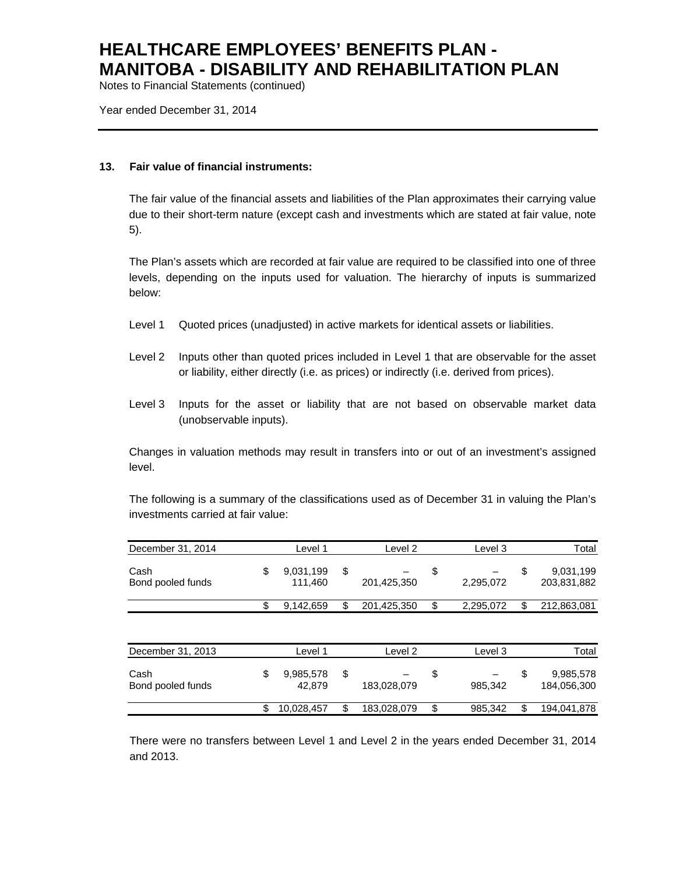Notes to Financial Statements (continued)

Year ended December 31, 2014

#### **13. Fair value of financial instruments:**

The fair value of the financial assets and liabilities of the Plan approximates their carrying value due to their short-term nature (except cash and investments which are stated at fair value, note 5).

The Plan's assets which are recorded at fair value are required to be classified into one of three levels, depending on the inputs used for valuation. The hierarchy of inputs is summarized below:

- Level 1 Quoted prices (unadjusted) in active markets for identical assets or liabilities.
- Level 2 Inputs other than quoted prices included in Level 1 that are observable for the asset or liability, either directly (i.e. as prices) or indirectly (i.e. derived from prices).
- Level 3 Inputs for the asset or liability that are not based on observable market data (unobservable inputs).

Changes in valuation methods may result in transfers into or out of an investment's assigned level.

The following is a summary of the classifications used as of December 31 in valuing the Plan's investments carried at fair value:

| December 31, 2014         | Level 1                    | Level 2           | Level 3         | Total                          |
|---------------------------|----------------------------|-------------------|-----------------|--------------------------------|
| Cash<br>Bond pooled funds | \$<br>9,031,199<br>111,460 | \$<br>201,425,350 | \$<br>2,295,072 | \$<br>9,031,199<br>203,831,882 |
|                           | \$<br>9,142,659            | \$<br>201,425,350 | \$<br>2,295,072 | \$<br>212,863,081              |
| December 31, 2013         | Level 1                    | Level 2           | Level 3         | Total                          |
| Cash<br>Bond pooled funds | \$<br>9,985,578<br>42.879  | \$<br>183,028,079 | \$<br>985,342   | \$<br>9,985,578<br>184,056,300 |
|                           | \$<br>10,028,457           | \$<br>183,028,079 | \$<br>985,342   | 194,041,878                    |

There were no transfers between Level 1 and Level 2 in the years ended December 31, 2014 and 2013.